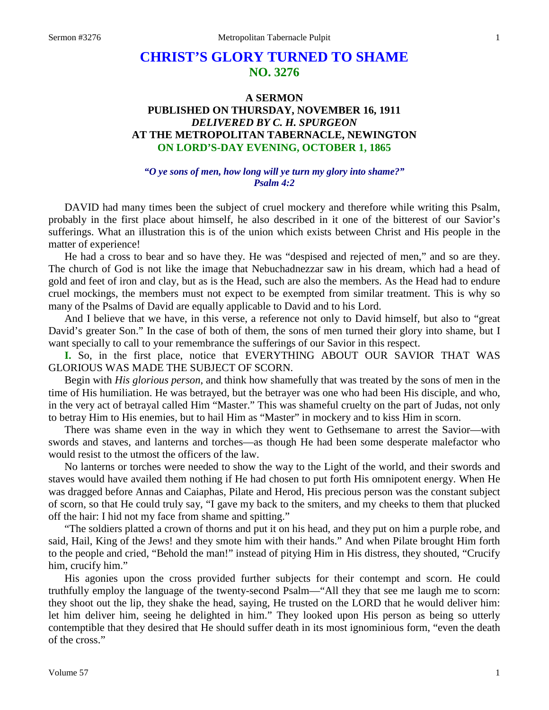# **CHRIST'S GLORY TURNED TO SHAME NO. 3276**

## **A SERMON PUBLISHED ON THURSDAY, NOVEMBER 16, 1911** *DELIVERED BY C. H. SPURGEON* **AT THE METROPOLITAN TABERNACLE, NEWINGTON ON LORD'S-DAY EVENING, OCTOBER 1, 1865**

## *"O ye sons of men, how long will ye turn my glory into shame?" Psalm 4:2*

DAVID had many times been the subject of cruel mockery and therefore while writing this Psalm, probably in the first place about himself, he also described in it one of the bitterest of our Savior's sufferings. What an illustration this is of the union which exists between Christ and His people in the matter of experience!

He had a cross to bear and so have they. He was "despised and rejected of men," and so are they. The church of God is not like the image that Nebuchadnezzar saw in his dream, which had a head of gold and feet of iron and clay, but as is the Head, such are also the members. As the Head had to endure cruel mockings, the members must not expect to be exempted from similar treatment. This is why so many of the Psalms of David are equally applicable to David and to his Lord.

And I believe that we have, in this verse, a reference not only to David himself, but also to "great David's greater Son." In the case of both of them, the sons of men turned their glory into shame, but I want specially to call to your remembrance the sufferings of our Savior in this respect.

**I.** So, in the first place, notice that EVERYTHING ABOUT OUR SAVIOR THAT WAS GLORIOUS WAS MADE THE SUBJECT OF SCORN.

Begin with *His glorious person*, and think how shamefully that was treated by the sons of men in the time of His humiliation. He was betrayed, but the betrayer was one who had been His disciple, and who, in the very act of betrayal called Him "Master." This was shameful cruelty on the part of Judas, not only to betray Him to His enemies, but to hail Him as "Master" in mockery and to kiss Him in scorn.

There was shame even in the way in which they went to Gethsemane to arrest the Savior—with swords and staves, and lanterns and torches—as though He had been some desperate malefactor who would resist to the utmost the officers of the law.

No lanterns or torches were needed to show the way to the Light of the world, and their swords and staves would have availed them nothing if He had chosen to put forth His omnipotent energy. When He was dragged before Annas and Caiaphas, Pilate and Herod, His precious person was the constant subject of scorn, so that He could truly say, "I gave my back to the smiters, and my cheeks to them that plucked off the hair: I hid not my face from shame and spitting."

"The soldiers platted a crown of thorns and put it on his head, and they put on him a purple robe, and said, Hail, King of the Jews! and they smote him with their hands." And when Pilate brought Him forth to the people and cried, "Behold the man!" instead of pitying Him in His distress, they shouted, "Crucify him, crucify him."

His agonies upon the cross provided further subjects for their contempt and scorn. He could truthfully employ the language of the twenty-second Psalm—"All they that see me laugh me to scorn: they shoot out the lip, they shake the head, saying, He trusted on the LORD that he would deliver him: let him deliver him, seeing he delighted in him." They looked upon His person as being so utterly contemptible that they desired that He should suffer death in its most ignominious form, "even the death of the cross."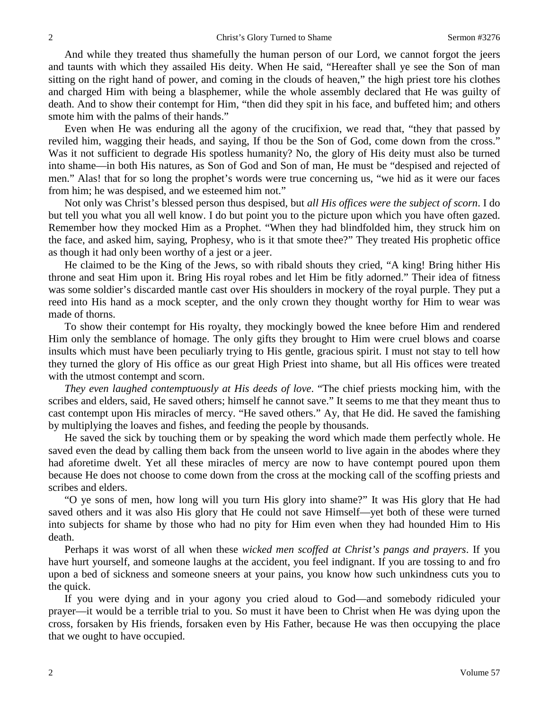And while they treated thus shamefully the human person of our Lord, we cannot forgot the jeers and taunts with which they assailed His deity. When He said, "Hereafter shall ye see the Son of man sitting on the right hand of power, and coming in the clouds of heaven," the high priest tore his clothes and charged Him with being a blasphemer, while the whole assembly declared that He was guilty of death. And to show their contempt for Him, "then did they spit in his face, and buffeted him; and others smote him with the palms of their hands."

Even when He was enduring all the agony of the crucifixion, we read that, "they that passed by reviled him, wagging their heads, and saying, If thou be the Son of God, come down from the cross." Was it not sufficient to degrade His spotless humanity? No, the glory of His deity must also be turned into shame—in both His natures, as Son of God and Son of man, He must be "despised and rejected of men." Alas! that for so long the prophet's words were true concerning us, "we hid as it were our faces from him; he was despised, and we esteemed him not."

Not only was Christ's blessed person thus despised, but *all His offices were the subject of scorn*. I do but tell you what you all well know. I do but point you to the picture upon which you have often gazed. Remember how they mocked Him as a Prophet. "When they had blindfolded him, they struck him on the face, and asked him, saying, Prophesy, who is it that smote thee?" They treated His prophetic office as though it had only been worthy of a jest or a jeer.

He claimed to be the King of the Jews, so with ribald shouts they cried, "A king! Bring hither His throne and seat Him upon it. Bring His royal robes and let Him be fitly adorned." Their idea of fitness was some soldier's discarded mantle cast over His shoulders in mockery of the royal purple. They put a reed into His hand as a mock scepter, and the only crown they thought worthy for Him to wear was made of thorns.

To show their contempt for His royalty, they mockingly bowed the knee before Him and rendered Him only the semblance of homage. The only gifts they brought to Him were cruel blows and coarse insults which must have been peculiarly trying to His gentle, gracious spirit. I must not stay to tell how they turned the glory of His office as our great High Priest into shame, but all His offices were treated with the utmost contempt and scorn.

*They even laughed contemptuously at His deeds of love*. "The chief priests mocking him, with the scribes and elders, said, He saved others; himself he cannot save." It seems to me that they meant thus to cast contempt upon His miracles of mercy. "He saved others." Ay, that He did. He saved the famishing by multiplying the loaves and fishes, and feeding the people by thousands.

He saved the sick by touching them or by speaking the word which made them perfectly whole. He saved even the dead by calling them back from the unseen world to live again in the abodes where they had aforetime dwelt. Yet all these miracles of mercy are now to have contempt poured upon them because He does not choose to come down from the cross at the mocking call of the scoffing priests and scribes and elders.

"O ye sons of men, how long will you turn His glory into shame?" It was His glory that He had saved others and it was also His glory that He could not save Himself—yet both of these were turned into subjects for shame by those who had no pity for Him even when they had hounded Him to His death.

Perhaps it was worst of all when these *wicked men scoffed at Christ's pangs and prayers*. If you have hurt yourself, and someone laughs at the accident, you feel indignant. If you are tossing to and fro upon a bed of sickness and someone sneers at your pains, you know how such unkindness cuts you to the quick.

If you were dying and in your agony you cried aloud to God—and somebody ridiculed your prayer—it would be a terrible trial to you. So must it have been to Christ when He was dying upon the cross, forsaken by His friends, forsaken even by His Father, because He was then occupying the place that we ought to have occupied.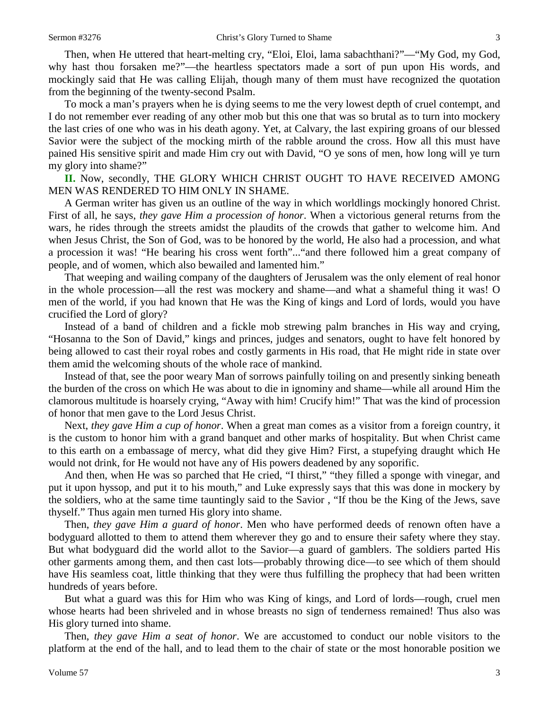Then, when He uttered that heart-melting cry, "Eloi, Eloi, lama sabachthani?"—"My God, my God, why hast thou forsaken me?"—the heartless spectators made a sort of pun upon His words, and mockingly said that He was calling Elijah, though many of them must have recognized the quotation from the beginning of the twenty-second Psalm.

To mock a man's prayers when he is dying seems to me the very lowest depth of cruel contempt, and I do not remember ever reading of any other mob but this one that was so brutal as to turn into mockery the last cries of one who was in his death agony. Yet, at Calvary, the last expiring groans of our blessed Savior were the subject of the mocking mirth of the rabble around the cross. How all this must have pained His sensitive spirit and made Him cry out with David, "O ye sons of men, how long will ye turn my glory into shame?"

**II.** Now, secondly, THE GLORY WHICH CHRIST OUGHT TO HAVE RECEIVED AMONG MEN WAS RENDERED TO HIM ONLY IN SHAME.

A German writer has given us an outline of the way in which worldlings mockingly honored Christ. First of all, he says, *they gave Him a procession of honor*. When a victorious general returns from the wars, he rides through the streets amidst the plaudits of the crowds that gather to welcome him. And when Jesus Christ, the Son of God, was to be honored by the world, He also had a procession, and what a procession it was! "He bearing his cross went forth"..."and there followed him a great company of people, and of women, which also bewailed and lamented him."

That weeping and wailing company of the daughters of Jerusalem was the only element of real honor in the whole procession—all the rest was mockery and shame—and what a shameful thing it was! O men of the world, if you had known that He was the King of kings and Lord of lords, would you have crucified the Lord of glory?

Instead of a band of children and a fickle mob strewing palm branches in His way and crying, "Hosanna to the Son of David," kings and princes, judges and senators, ought to have felt honored by being allowed to cast their royal robes and costly garments in His road, that He might ride in state over them amid the welcoming shouts of the whole race of mankind.

Instead of that, see the poor weary Man of sorrows painfully toiling on and presently sinking beneath the burden of the cross on which He was about to die in ignominy and shame—while all around Him the clamorous multitude is hoarsely crying, "Away with him! Crucify him!" That was the kind of procession of honor that men gave to the Lord Jesus Christ.

Next, *they gave Him a cup of honor*. When a great man comes as a visitor from a foreign country, it is the custom to honor him with a grand banquet and other marks of hospitality. But when Christ came to this earth on a embassage of mercy, what did they give Him? First, a stupefying draught which He would not drink, for He would not have any of His powers deadened by any soporific.

And then, when He was so parched that He cried, "I thirst," "they filled a sponge with vinegar, and put it upon hyssop, and put it to his mouth," and Luke expressly says that this was done in mockery by the soldiers, who at the same time tauntingly said to the Savior , "If thou be the King of the Jews, save thyself." Thus again men turned His glory into shame.

Then, *they gave Him a guard of honor*. Men who have performed deeds of renown often have a bodyguard allotted to them to attend them wherever they go and to ensure their safety where they stay. But what bodyguard did the world allot to the Savior—a guard of gamblers. The soldiers parted His other garments among them, and then cast lots—probably throwing dice—to see which of them should have His seamless coat, little thinking that they were thus fulfilling the prophecy that had been written hundreds of years before.

But what a guard was this for Him who was King of kings, and Lord of lords—rough, cruel men whose hearts had been shriveled and in whose breasts no sign of tenderness remained! Thus also was His glory turned into shame.

Then, *they gave Him a seat of honor*. We are accustomed to conduct our noble visitors to the platform at the end of the hall, and to lead them to the chair of state or the most honorable position we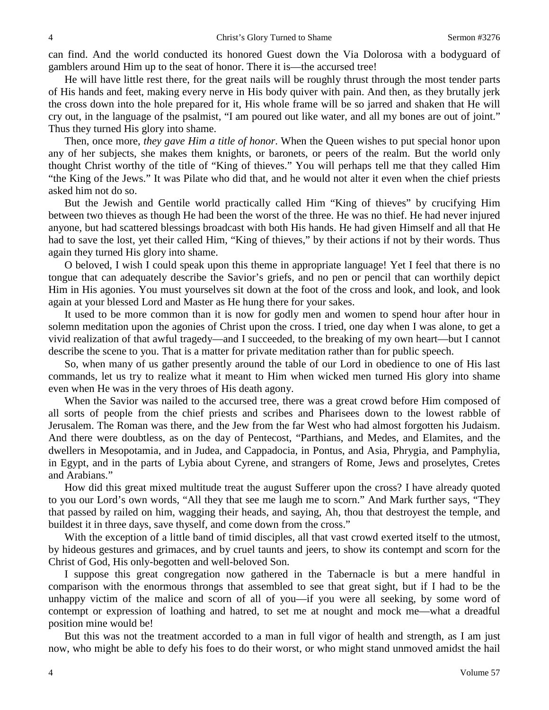can find. And the world conducted its honored Guest down the Via Dolorosa with a bodyguard of gamblers around Him up to the seat of honor. There it is—the accursed tree!

He will have little rest there, for the great nails will be roughly thrust through the most tender parts of His hands and feet, making every nerve in His body quiver with pain. And then, as they brutally jerk the cross down into the hole prepared for it, His whole frame will be so jarred and shaken that He will cry out, in the language of the psalmist, "I am poured out like water, and all my bones are out of joint." Thus they turned His glory into shame.

Then, once more, *they gave Him a title of honor*. When the Queen wishes to put special honor upon any of her subjects, she makes them knights, or baronets, or peers of the realm. But the world only thought Christ worthy of the title of "King of thieves." You will perhaps tell me that they called Him "the King of the Jews." It was Pilate who did that, and he would not alter it even when the chief priests asked him not do so.

But the Jewish and Gentile world practically called Him "King of thieves" by crucifying Him between two thieves as though He had been the worst of the three. He was no thief. He had never injured anyone, but had scattered blessings broadcast with both His hands. He had given Himself and all that He had to save the lost, yet their called Him, "King of thieves," by their actions if not by their words. Thus again they turned His glory into shame.

O beloved, I wish I could speak upon this theme in appropriate language! Yet I feel that there is no tongue that can adequately describe the Savior's griefs, and no pen or pencil that can worthily depict Him in His agonies. You must yourselves sit down at the foot of the cross and look, and look, and look again at your blessed Lord and Master as He hung there for your sakes.

It used to be more common than it is now for godly men and women to spend hour after hour in solemn meditation upon the agonies of Christ upon the cross. I tried, one day when I was alone, to get a vivid realization of that awful tragedy—and I succeeded, to the breaking of my own heart—but I cannot describe the scene to you. That is a matter for private meditation rather than for public speech.

So, when many of us gather presently around the table of our Lord in obedience to one of His last commands, let us try to realize what it meant to Him when wicked men turned His glory into shame even when He was in the very throes of His death agony.

When the Savior was nailed to the accursed tree, there was a great crowd before Him composed of all sorts of people from the chief priests and scribes and Pharisees down to the lowest rabble of Jerusalem. The Roman was there, and the Jew from the far West who had almost forgotten his Judaism. And there were doubtless, as on the day of Pentecost, "Parthians, and Medes, and Elamites, and the dwellers in Mesopotamia, and in Judea, and Cappadocia, in Pontus, and Asia, Phrygia, and Pamphylia, in Egypt, and in the parts of Lybia about Cyrene, and strangers of Rome, Jews and proselytes, Cretes and Arabians."

How did this great mixed multitude treat the august Sufferer upon the cross? I have already quoted to you our Lord's own words, "All they that see me laugh me to scorn." And Mark further says, "They that passed by railed on him, wagging their heads, and saying, Ah, thou that destroyest the temple, and buildest it in three days, save thyself, and come down from the cross."

With the exception of a little band of timid disciples, all that vast crowd exerted itself to the utmost, by hideous gestures and grimaces, and by cruel taunts and jeers, to show its contempt and scorn for the Christ of God, His only-begotten and well-beloved Son.

I suppose this great congregation now gathered in the Tabernacle is but a mere handful in comparison with the enormous throngs that assembled to see that great sight, but if I had to be the unhappy victim of the malice and scorn of all of you—if you were all seeking, by some word of contempt or expression of loathing and hatred, to set me at nought and mock me—what a dreadful position mine would be!

But this was not the treatment accorded to a man in full vigor of health and strength, as I am just now, who might be able to defy his foes to do their worst, or who might stand unmoved amidst the hail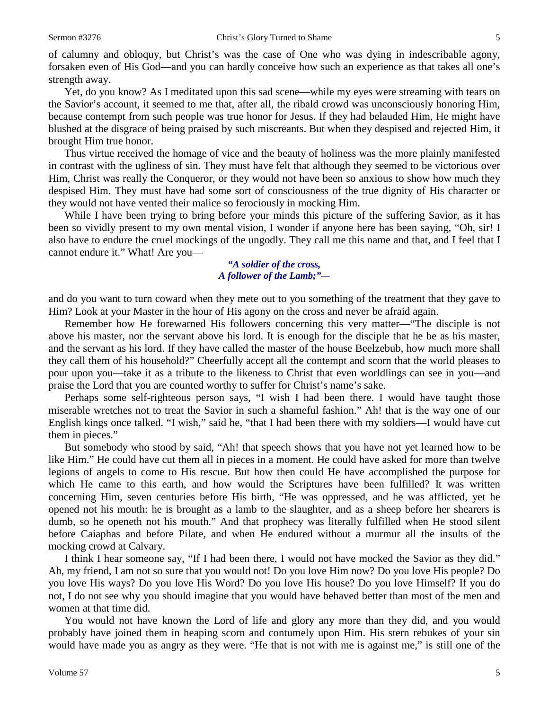of calumny and obloquy, but Christ's was the case of One who was dying in indescribable agony, forsaken even of His God—and you can hardly conceive how such an experience as that takes all one's strength away.

Yet, do you know? As I meditated upon this sad scene—while my eyes were streaming with tears on the Savior's account, it seemed to me that, after all, the ribald crowd was unconsciously honoring Him, because contempt from such people was true honor for Jesus. If they had belauded Him, He might have blushed at the disgrace of being praised by such miscreants. But when they despised and rejected Him, it brought Him true honor.

Thus virtue received the homage of vice and the beauty of holiness was the more plainly manifested in contrast with the ugliness of sin. They must have felt that although they seemed to be victorious over Him, Christ was really the Conqueror, or they would not have been so anxious to show how much they despised Him. They must have had some sort of consciousness of the true dignity of His character or they would not have vented their malice so ferociously in mocking Him.

While I have been trying to bring before your minds this picture of the suffering Savior, as it has been so vividly present to my own mental vision, I wonder if anyone here has been saying, "Oh, sir! I also have to endure the cruel mockings of the ungodly. They call me this name and that, and I feel that I cannot endure it." What! Are you—

## *"A soldier of the cross, A follower of the Lamb;"—*

and do you want to turn coward when they mete out to you something of the treatment that they gave to Him? Look at your Master in the hour of His agony on the cross and never be afraid again.

Remember how He forewarned His followers concerning this very matter—"The disciple is not above his master, nor the servant above his lord. It is enough for the disciple that he be as his master, and the servant as his lord. If they have called the master of the house Beelzebub, how much more shall they call them of his household?" Cheerfully accept all the contempt and scorn that the world pleases to pour upon you—take it as a tribute to the likeness to Christ that even worldlings can see in you—and praise the Lord that you are counted worthy to suffer for Christ's name's sake.

Perhaps some self-righteous person says, "I wish I had been there. I would have taught those miserable wretches not to treat the Savior in such a shameful fashion." Ah! that is the way one of our English kings once talked. "I wish," said he, "that I had been there with my soldiers—I would have cut them in pieces."

But somebody who stood by said, "Ah! that speech shows that you have not yet learned how to be like Him." He could have cut them all in pieces in a moment. He could have asked for more than twelve legions of angels to come to His rescue. But how then could He have accomplished the purpose for which He came to this earth, and how would the Scriptures have been fulfilled? It was written concerning Him, seven centuries before His birth, "He was oppressed, and he was afflicted, yet he opened not his mouth: he is brought as a lamb to the slaughter, and as a sheep before her shearers is dumb, so he openeth not his mouth." And that prophecy was literally fulfilled when He stood silent before Caiaphas and before Pilate, and when He endured without a murmur all the insults of the mocking crowd at Calvary.

I think I hear someone say, "If I had been there, I would not have mocked the Savior as they did." Ah, my friend, I am not so sure that you would not! Do you love Him now? Do you love His people? Do you love His ways? Do you love His Word? Do you love His house? Do you love Himself? If you do not, I do not see why you should imagine that you would have behaved better than most of the men and women at that time did.

You would not have known the Lord of life and glory any more than they did, and you would probably have joined them in heaping scorn and contumely upon Him. His stern rebukes of your sin would have made you as angry as they were. "He that is not with me is against me," is still one of the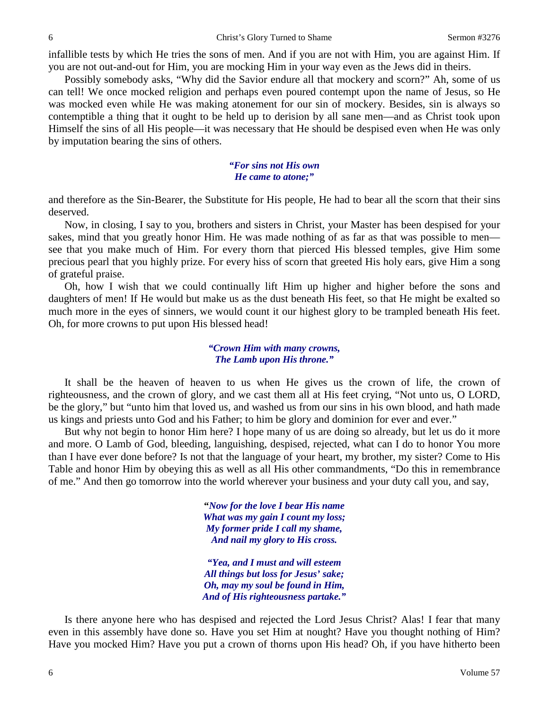infallible tests by which He tries the sons of men. And if you are not with Him, you are against Him. If you are not out-and-out for Him, you are mocking Him in your way even as the Jews did in theirs.

Possibly somebody asks, "Why did the Savior endure all that mockery and scorn?" Ah, some of us can tell! We once mocked religion and perhaps even poured contempt upon the name of Jesus, so He was mocked even while He was making atonement for our sin of mockery. Besides, sin is always so contemptible a thing that it ought to be held up to derision by all sane men—and as Christ took upon Himself the sins of all His people—it was necessary that He should be despised even when He was only by imputation bearing the sins of others.

#### *"For sins not His own He came to atone;"*

and therefore as the Sin-Bearer, the Substitute for His people, He had to bear all the scorn that their sins deserved.

Now, in closing, I say to you, brothers and sisters in Christ, your Master has been despised for your sakes, mind that you greatly honor Him. He was made nothing of as far as that was possible to men see that you make much of Him. For every thorn that pierced His blessed temples, give Him some precious pearl that you highly prize. For every hiss of scorn that greeted His holy ears, give Him a song of grateful praise.

Oh, how I wish that we could continually lift Him up higher and higher before the sons and daughters of men! If He would but make us as the dust beneath His feet, so that He might be exalted so much more in the eyes of sinners, we would count it our highest glory to be trampled beneath His feet. Oh, for more crowns to put upon His blessed head!

#### *"Crown Him with many crowns, The Lamb upon His throne."*

It shall be the heaven of heaven to us when He gives us the crown of life, the crown of righteousness, and the crown of glory, and we cast them all at His feet crying, "Not unto us, O LORD, be the glory," but "unto him that loved us, and washed us from our sins in his own blood, and hath made us kings and priests unto God and his Father; to him be glory and dominion for ever and ever."

But why not begin to honor Him here? I hope many of us are doing so already, but let us do it more and more. O Lamb of God, bleeding, languishing, despised, rejected, what can I do to honor You more than I have ever done before? Is not that the language of your heart, my brother, my sister? Come to His Table and honor Him by obeying this as well as all His other commandments, "Do this in remembrance of me." And then go tomorrow into the world wherever your business and your duty call you, and say,

> **"***Now for the love I bear His name What was my gain I count my loss; My former pride I call my shame, And nail my glory to His cross.*

*"Yea, and I must and will esteem All things but loss for Jesus' sake; Oh, may my soul be found in Him, And of His righteousness partake."*

Is there anyone here who has despised and rejected the Lord Jesus Christ? Alas! I fear that many even in this assembly have done so. Have you set Him at nought? Have you thought nothing of Him? Have you mocked Him? Have you put a crown of thorns upon His head? Oh, if you have hitherto been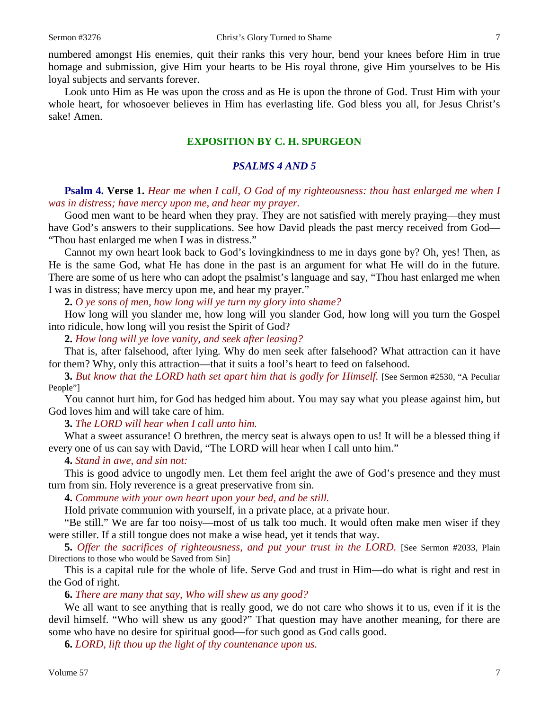numbered amongst His enemies, quit their ranks this very hour, bend your knees before Him in true homage and submission, give Him your hearts to be His royal throne, give Him yourselves to be His loyal subjects and servants forever.

Look unto Him as He was upon the cross and as He is upon the throne of God. Trust Him with your whole heart, for whosoever believes in Him has everlasting life. God bless you all, for Jesus Christ's sake! Amen.

## **EXPOSITION BY C. H. SPURGEON**

## *PSALMS 4 AND 5*

**Psalm 4. Verse 1.** *Hear me when I call, O God of my righteousness: thou hast enlarged me when I was in distress; have mercy upon me, and hear my prayer.* 

Good men want to be heard when they pray. They are not satisfied with merely praying—they must have God's answers to their supplications. See how David pleads the past mercy received from God— "Thou hast enlarged me when I was in distress."

Cannot my own heart look back to God's lovingkindness to me in days gone by? Oh, yes! Then, as He is the same God, what He has done in the past is an argument for what He will do in the future. There are some of us here who can adopt the psalmist's language and say, "Thou hast enlarged me when I was in distress; have mercy upon me, and hear my prayer."

**2.** *O ye sons of men, how long will ye turn my glory into shame?* 

How long will you slander me, how long will you slander God, how long will you turn the Gospel into ridicule, how long will you resist the Spirit of God?

**2.** *How long will ye love vanity, and seek after leasing?*

That is, after falsehood, after lying. Why do men seek after falsehood? What attraction can it have for them? Why, only this attraction—that it suits a fool's heart to feed on falsehood.

**3.** *But know that the LORD hath set apart him that is godly for Himself.* [See Sermon #2530, "A Peculiar People"]

You cannot hurt him, for God has hedged him about. You may say what you please against him, but God loves him and will take care of him.

**3.** *The LORD will hear when I call unto him.* 

What a sweet assurance! O brethren, the mercy seat is always open to us! It will be a blessed thing if every one of us can say with David, "The LORD will hear when I call unto him."

**4.** *Stand in awe, and sin not:*

This is good advice to ungodly men. Let them feel aright the awe of God's presence and they must turn from sin. Holy reverence is a great preservative from sin.

**4.** *Commune with your own heart upon your bed, and be still.* 

Hold private communion with yourself, in a private place, at a private hour.

"Be still." We are far too noisy—most of us talk too much. It would often make men wiser if they were stiller. If a still tongue does not make a wise head, yet it tends that way.

**5.** *Offer the sacrifices of righteousness, and put your trust in the LORD.* [See Sermon #2033, Plain Directions to those who would be Saved from Sin]

This is a capital rule for the whole of life. Serve God and trust in Him—do what is right and rest in the God of right.

**6.** *There are many that say, Who will shew us any good?* 

We all want to see anything that is really good, we do not care who shows it to us, even if it is the devil himself. "Who will shew us any good?" That question may have another meaning, for there are some who have no desire for spiritual good—for such good as God calls good.

**6.** *LORD, lift thou up the light of thy countenance upon us.*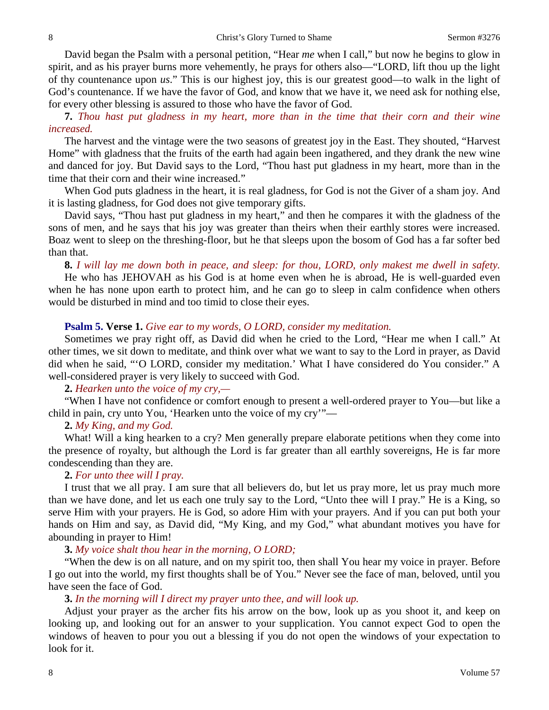David began the Psalm with a personal petition, "Hear *me* when I call," but now he begins to glow in spirit, and as his prayer burns more vehemently, he prays for others also—"LORD, lift thou up the light of thy countenance upon *us*." This is our highest joy, this is our greatest good—to walk in the light of God's countenance. If we have the favor of God, and know that we have it, we need ask for nothing else, for every other blessing is assured to those who have the favor of God.

**7.** *Thou hast put gladness in my heart, more than in the time that their corn and their wine increased.* 

The harvest and the vintage were the two seasons of greatest joy in the East. They shouted, "Harvest Home" with gladness that the fruits of the earth had again been ingathered, and they drank the new wine and danced for joy. But David says to the Lord, "Thou hast put gladness in my heart, more than in the time that their corn and their wine increased."

When God puts gladness in the heart, it is real gladness, for God is not the Giver of a sham joy. And it is lasting gladness, for God does not give temporary gifts.

David says, "Thou hast put gladness in my heart," and then he compares it with the gladness of the sons of men, and he says that his joy was greater than theirs when their earthly stores were increased. Boaz went to sleep on the threshing-floor, but he that sleeps upon the bosom of God has a far softer bed than that.

#### **8.** *I will lay me down both in peace, and sleep: for thou, LORD, only makest me dwell in safety.*

He who has JEHOVAH as his God is at home even when he is abroad, He is well-guarded even when he has none upon earth to protect him, and he can go to sleep in calm confidence when others would be disturbed in mind and too timid to close their eyes.

#### **Psalm 5. Verse 1.** *Give ear to my words, O LORD, consider my meditation.*

Sometimes we pray right off, as David did when he cried to the Lord, "Hear me when I call." At other times, we sit down to meditate, and think over what we want to say to the Lord in prayer, as David did when he said, "'O LORD, consider my meditation.' What I have considered do You consider." A well-considered prayer is very likely to succeed with God.

#### **2.** *Hearken unto the voice of my cry,—*

"When I have not confidence or comfort enough to present a well-ordered prayer to You—but like a child in pain, cry unto You, 'Hearken unto the voice of my cry'"—

#### **2.** *My King, and my God.*

What! Will a king hearken to a cry? Men generally prepare elaborate petitions when they come into the presence of royalty, but although the Lord is far greater than all earthly sovereigns, He is far more condescending than they are.

#### **2.** *For unto thee will I pray.*

I trust that we all pray. I am sure that all believers do, but let us pray more, let us pray much more than we have done, and let us each one truly say to the Lord, "Unto thee will I pray." He is a King, so serve Him with your prayers. He is God, so adore Him with your prayers. And if you can put both your hands on Him and say, as David did, "My King, and my God," what abundant motives you have for abounding in prayer to Him!

## **3.** *My voice shalt thou hear in the morning, O LORD;*

"When the dew is on all nature, and on my spirit too, then shall You hear my voice in prayer. Before I go out into the world, my first thoughts shall be of You." Never see the face of man, beloved, until you have seen the face of God.

#### **3.** *In the morning will I direct my prayer unto thee, and will look up.*

Adjust your prayer as the archer fits his arrow on the bow, look up as you shoot it, and keep on looking up, and looking out for an answer to your supplication. You cannot expect God to open the windows of heaven to pour you out a blessing if you do not open the windows of your expectation to look for it.